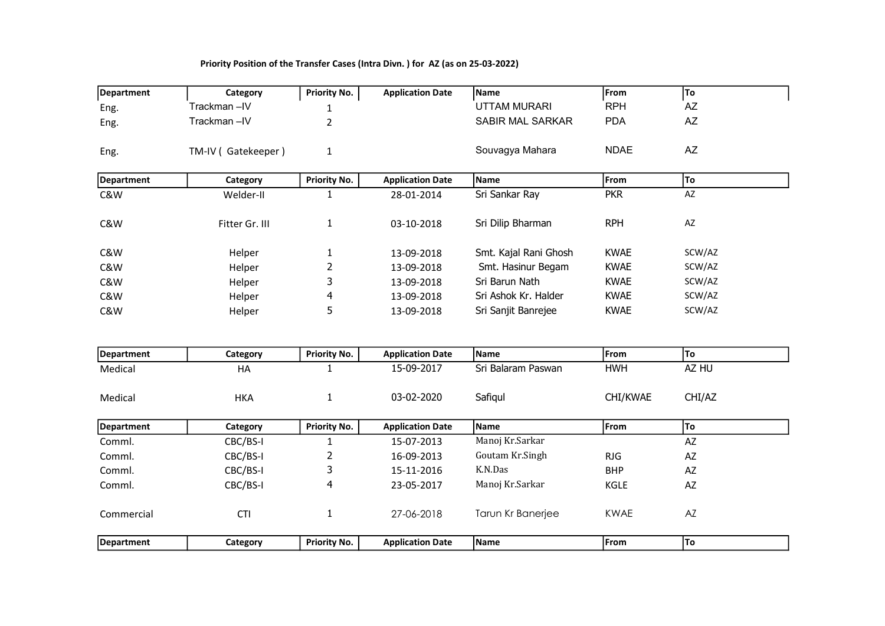| Department        | Category           | <b>Priority No.</b> | <b>Application Date</b> | Name                    | From        | To                     |
|-------------------|--------------------|---------------------|-------------------------|-------------------------|-------------|------------------------|
| Eng.              | Trackman-IV        | 1                   |                         | <b>UTTAM MURARI</b>     | <b>RPH</b>  | <b>AZ</b>              |
| Eng.              | Trackman-IV        | $\overline{2}$      |                         | <b>SABIR MAL SARKAR</b> | <b>PDA</b>  | <b>AZ</b>              |
| Eng.              | TM-IV (Gatekeeper) | $\mathbf{1}$        |                         | Souvagya Mahara         | <b>NDAE</b> | <b>AZ</b>              |
| <b>Department</b> | Category           | <b>Priority No.</b> | <b>Application Date</b> | Name                    | From        | To                     |
| C&W               | Welder-II          | $\mathbf{1}$        | 28-01-2014              | Sri Sankar Ray          | <b>PKR</b>  | AZ                     |
| C&W               | Fitter Gr. III     | $\mathbf{1}$        | 03-10-2018              | Sri Dilip Bharman       | <b>RPH</b>  | $\mathsf{A}\mathsf{Z}$ |
| C&W               | Helper             | $\mathbf{1}$        | 13-09-2018              | Smt. Kajal Rani Ghosh   | <b>KWAE</b> | SCW/AZ                 |
| C&W               | Helper             | $\overline{2}$      | 13-09-2018              | Smt. Hasinur Begam      | <b>KWAE</b> | SCW/AZ                 |
| C&W               | Helper             | 3                   | 13-09-2018              | Sri Barun Nath          | <b>KWAE</b> | SCW/AZ                 |
| C&W               | Helper             | 4                   | 13-09-2018              | Sri Ashok Kr. Halder    | <b>KWAE</b> | SCW/AZ                 |
| C&W               | Helper             | 5                   | 13-09-2018              | Sri Sanjit Banrejee     | <b>KWAE</b> | SCW/AZ                 |
|                   |                    |                     |                         |                         |             |                        |
| <b>Department</b> | Category           | <b>Priority No.</b> | <b>Application Date</b> | Name                    | From        | To                     |
| Medical           | HA                 | 1                   | 15-09-2017              | Sri Balaram Paswan      | <b>HWH</b>  | AZ HU                  |
| Medical           | <b>HKA</b>         | $\mathbf{1}$        | 03-02-2020              | Safiqul                 | CHI/KWAE    | CHI/AZ                 |
| <b>Department</b> | Category           | Priority No.        | <b>Application Date</b> | Name                    | From        | To                     |
| Comml.            | CBC/BS-I           | $\mathbf{1}$        | 15-07-2013              | Manoj Kr.Sarkar         |             | AZ                     |
| Comml.            | CBC/BS-I           | $\overline{2}$      | 16-09-2013              | Goutam Kr.Singh         | RJG         | AZ                     |
| Comml.            | CBC/BS-I           | 3                   | 15-11-2016              | K.N.Das                 | <b>BHP</b>  | AZ                     |
| Comml.            | CBC/BS-I           | 4                   | 23-05-2017              | Manoj Kr.Sarkar         | KGLE        | AZ                     |
| Commercial        | <b>CTI</b>         | 1                   | 27-06-2018              | Tarun Kr Banerjee       | <b>KWAE</b> | AZ                     |
| Department        | Category           | <b>Priority No.</b> | <b>Application Date</b> | Name                    | From        | To                     |

## Priority Position of the Transfer Cases (Intra Divn. ) for AZ (as on 25-03-2022)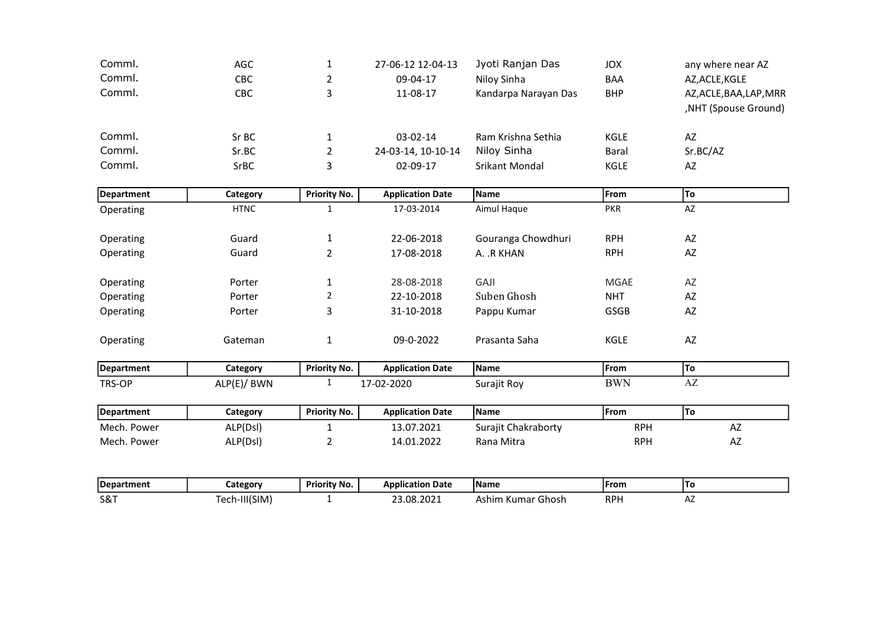| Comml.            | AGC           | 1                   | 27-06-12 12-04-13       | Jyoti Ranjan Das      | <b>JOX</b>  | any where near AZ                                |
|-------------------|---------------|---------------------|-------------------------|-----------------------|-------------|--------------------------------------------------|
| Comml.            | CBC           | $\overline{2}$      | 09-04-17                | Niloy Sinha           | <b>BAA</b>  | AZ, ACLE, KGLE                                   |
| Comml.            | CBC           | 3                   | 11-08-17                | Kandarpa Narayan Das  | <b>BHP</b>  | AZ, ACLE, BAA, LAP, MRR<br>, NHT (Spouse Ground) |
| Comml.            | Sr BC         | $\mathbf{1}$        | 03-02-14                | Ram Krishna Sethia    | KGLE        | AZ                                               |
| Comml.            | Sr.BC         | $\overline{a}$      | 24-03-14, 10-10-14      | Niloy Sinha           | Baral       | Sr.BC/AZ                                         |
| Comml.            | <b>SrBC</b>   | 3                   | 02-09-17                | <b>Srikant Mondal</b> | KGLE        | AZ                                               |
| <b>Department</b> | Category      | <b>Priority No.</b> | <b>Application Date</b> | Name                  | From        | To                                               |
| Operating         | <b>HTNC</b>   | 1                   | 17-03-2014              | Aimul Haque           | <b>PKR</b>  | $\mathsf{A}\mathsf{Z}$                           |
| Operating         | Guard         | $\mathbf{1}$        | 22-06-2018              | Gouranga Chowdhuri    | <b>RPH</b>  | AZ                                               |
| Operating         | Guard         | $\overline{2}$      | 17-08-2018              | A. .R KHAN            | <b>RPH</b>  | AZ                                               |
| Operating         | Porter        | $\mathbf{1}$        | 28-08-2018              | GAJI                  | <b>MGAE</b> | AZ                                               |
| Operating         | Porter        | $\overline{2}$      | 22-10-2018              | Suben Ghosh           | <b>NHT</b>  | AZ                                               |
| Operating         | Porter        | 3                   | 31-10-2018              | Pappu Kumar           | <b>GSGB</b> | AZ                                               |
| Operating         | Gateman       | $\mathbf{1}$        | 09-0-2022               | Prasanta Saha         | KGLE        | AZ                                               |
| <b>Department</b> | Category      | <b>Priority No.</b> | <b>Application Date</b> | Name                  | From        | To                                               |
| TRS-OP            | ALP(E)/ BWN   | $\mathbf{1}$        | 17-02-2020              | Surajit Roy           | <b>BWN</b>  | $\mathbf{A}\mathbf{Z}$                           |
| <b>Department</b> | Category      | <b>Priority No.</b> | <b>Application Date</b> | Name                  | From        | To                                               |
| Mech. Power       | ALP(Dsl)      | 1                   | 13.07.2021              | Surajit Chakraborty   | <b>RPH</b>  | AZ                                               |
| Mech. Power       | ALP(Dsl)      | $\overline{2}$      | 14.01.2022              | Rana Mitra            | <b>RPH</b>  | AZ                                               |
| <b>Department</b> | Category      | Priority No.        | <b>Application Date</b> | Name                  | From        | To                                               |
| S&T               | Tech-III(SIM) | 1                   | 23.08.2021              | Ashim Kumar Ghosh     | <b>RPH</b>  | AZ                                               |
|                   |               |                     |                         |                       |             |                                                  |